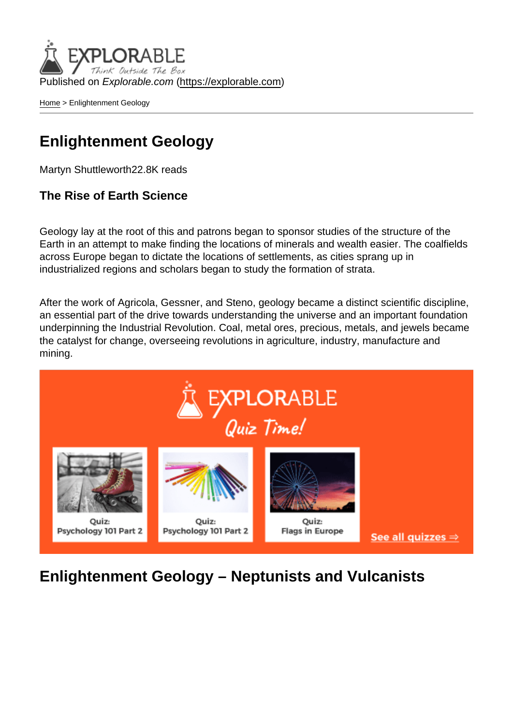Published on Explorable.com (<https://explorable.com>)

[Home](https://explorable.com/) > Enlightenment Geology

## Enlightenment Geology

Martyn Shuttleworth22.8K reads

The Rise of Earth Science

Geology lay at the root of this and patrons began to sponsor studies of the structure of the Earth in an attempt to make finding the locations of minerals and wealth easier. The coalfields across Europe began to dictate the locations of settlements, as cities sprang up in industrialized regions and scholars began to study the formation of strata.

After the work of Agricola, Gessner, and Steno, geology became a distinct scientific discipline, an essential part of the drive towards understanding the universe and an important foundation underpinning the Industrial Revolution. Coal, metal ores, precious, metals, and jewels became the catalyst for change, overseeing revolutions in agriculture, industry, manufacture and mining.

Enlightenment Geology – Neptunists and Vulcanists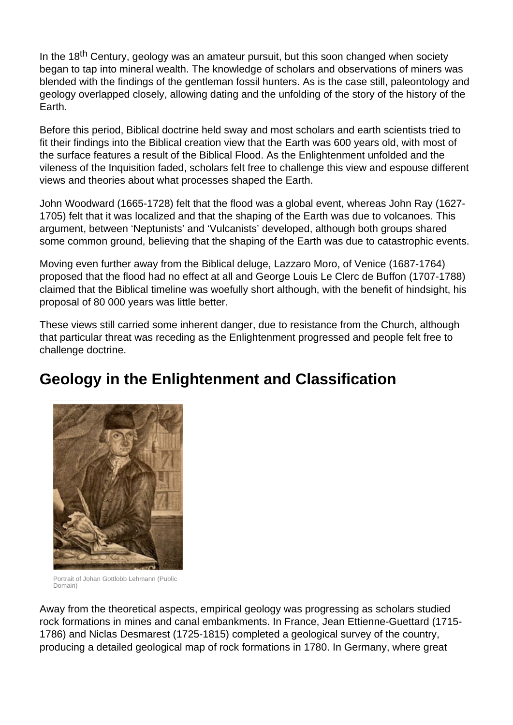In the 18<sup>th</sup> Century, geology was an amateur pursuit, but this soon changed when society began to tap into mineral wealth. The knowledge of scholars and observations of miners was blended with the findings of the gentleman fossil hunters. As is the case still, paleontology and geology overlapped closely, allowing dating and the unfolding of the story of the history of the Earth.

Before this period, Biblical doctrine held sway and most scholars and earth scientists tried to fit their findings into the Biblical creation view that the Earth was 600 years old, with most of the surface features a result of the Biblical Flood. As the Enlightenment unfolded and the vileness of the Inquisition faded, scholars felt free to challenge this view and espouse different views and theories about what processes shaped the Earth.

John Woodward (1665-1728) felt that the flood was a global event, whereas John Ray (1627- 1705) felt that it was localized and that the shaping of the Earth was due to volcanoes. This argument, between 'Neptunists' and 'Vulcanists' developed, although both groups shared some common ground, believing that the shaping of the Earth was due to catastrophic events.

Moving even further away from the Biblical deluge, Lazzaro Moro, of Venice (1687-1764) proposed that the flood had no effect at all and George Louis Le Clerc de Buffon (1707-1788) claimed that the Biblical timeline was woefully short although, with the benefit of hindsight, his proposal of 80 000 years was little better.

These views still carried some inherent danger, due to resistance from the Church, although that particular threat was receding as the Enlightenment progressed and people felt free to challenge doctrine.

# **Geology in the Enlightenment and Classification**



Portrait of Johan Gottlobb Lehmann (Public Domain)

Away from the theoretical aspects, empirical geology was progressing as scholars studied rock formations in mines and canal embankments. In France, Jean Ettienne-Guettard (1715- 1786) and Niclas Desmarest (1725-1815) completed a geological survey of the country, producing a detailed geological map of rock formations in 1780. In Germany, where great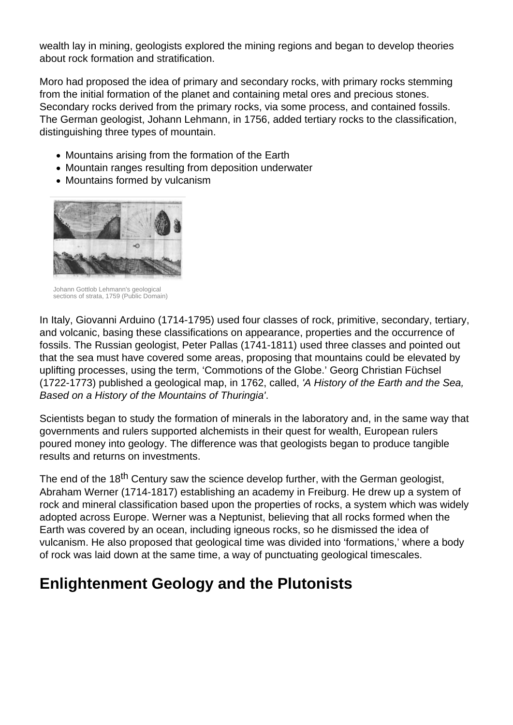wealth lay in mining, geologists explored the mining regions and began to develop theories about rock formation and stratification.

Moro had proposed the idea of primary and secondary rocks, with primary rocks stemming from the initial formation of the planet and containing metal ores and precious stones. Secondary rocks derived from the primary rocks, via some process, and contained fossils. The German geologist, Johann Lehmann, in 1756, added tertiary rocks to the classification, distinguishing three types of mountain.

- Mountains arising from the formation of the Earth
- Mountain ranges resulting from deposition underwater
- Mountains formed by vulcanism



Johann Gottlob Lehmann's geological sections of strata, 1759 (Public Domain)

In Italy, Giovanni Arduino (1714-1795) used four classes of rock, primitive, secondary, tertiary, and volcanic, basing these classifications on appearance, properties and the occurrence of fossils. The Russian geologist, Peter Pallas (1741-1811) used three classes and pointed out that the sea must have covered some areas, proposing that mountains could be elevated by uplifting processes, using the term, 'Commotions of the Globe.' Georg Christian Füchsel (1722-1773) published a geological map, in 1762, called, 'A History of the Earth and the Sea, Based on a History of the Mountains of Thuringia'.

Scientists began to study the formation of minerals in the laboratory and, in the same way that governments and rulers supported alchemists in their quest for wealth, European rulers poured money into geology. The difference was that geologists began to produce tangible results and returns on investments.

The end of the 18<sup>th</sup> Century saw the science develop further, with the German geologist, Abraham Werner (1714-1817) establishing an academy in Freiburg. He drew up a system of rock and mineral classification based upon the properties of rocks, a system which was widely adopted across Europe. Werner was a Neptunist, believing that all rocks formed when the Earth was covered by an ocean, including igneous rocks, so he dismissed the idea of vulcanism. He also proposed that geological time was divided into 'formations,' where a body of rock was laid down at the same time, a way of punctuating geological timescales.

# **Enlightenment Geology and the Plutonists**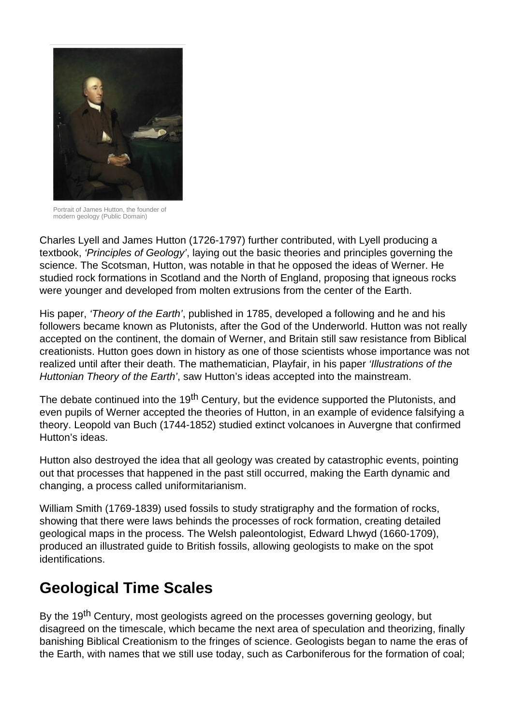

Portrait of James Hutton, the founder of modern geology (Public Domain)

Charles Lyell and James Hutton (1726-1797) further contributed, with Lyell producing a textbook, 'Principles of Geology', laying out the basic theories and principles governing the science. The Scotsman, Hutton, was notable in that he opposed the ideas of Werner. He studied rock formations in Scotland and the North of England, proposing that igneous rocks were younger and developed from molten extrusions from the center of the Earth.

His paper, 'Theory of the Earth', published in 1785, developed a following and he and his followers became known as Plutonists, after the God of the Underworld. Hutton was not really accepted on the continent, the domain of Werner, and Britain still saw resistance from Biblical creationists. Hutton goes down in history as one of those scientists whose importance was not realized until after their death. The mathematician, Playfair, in his paper 'Illustrations of the Huttonian Theory of the Earth', saw Hutton's ideas accepted into the mainstream.

The debate continued into the 19<sup>th</sup> Century, but the evidence supported the Plutonists, and even pupils of Werner accepted the theories of Hutton, in an example of evidence falsifying a theory. Leopold van Buch (1744-1852) studied extinct volcanoes in Auvergne that confirmed Hutton's ideas.

Hutton also destroyed the idea that all geology was created by catastrophic events, pointing out that processes that happened in the past still occurred, making the Earth dynamic and changing, a process called uniformitarianism.

William Smith (1769-1839) used fossils to study stratigraphy and the formation of rocks, showing that there were laws behinds the processes of rock formation, creating detailed geological maps in the process. The Welsh paleontologist, Edward Lhwyd (1660-1709), produced an illustrated guide to British fossils, allowing geologists to make on the spot identifications.

# **Geological Time Scales**

By the 19<sup>th</sup> Century, most geologists agreed on the processes governing geology, but disagreed on the timescale, which became the next area of speculation and theorizing, finally banishing Biblical Creationism to the fringes of science. Geologists began to name the eras of the Earth, with names that we still use today, such as Carboniferous for the formation of coal;